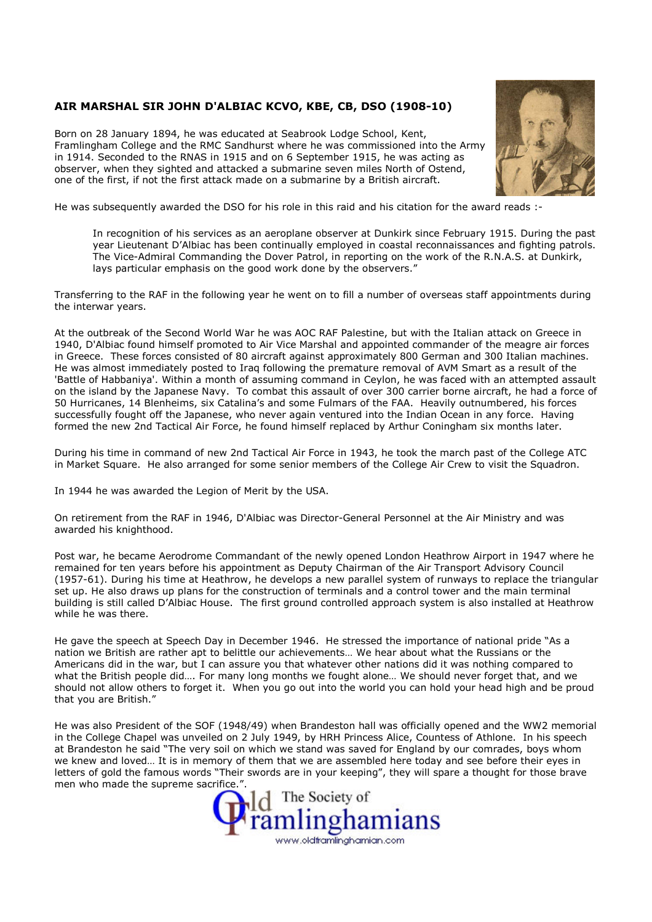## AIR MARSHAL SIR JOHN D'ALBIAC KCVO, KBE, CB, DSO (1908-10)

Born on 28 January 1894, he was educated at Seabrook Lodge School, Kent, Framlingham College and the RMC Sandhurst where he was commissioned into the Army in 1914. Seconded to the RNAS in 1915 and on 6 September 1915, he was acting as observer, when they sighted and attacked a submarine seven miles North of Ostend, one of the first, if not the first attack made on a submarine by a British aircraft.



He was subsequently awarded the DSO for his role in this raid and his citation for the award reads :-

In recognition of his services as an aeroplane observer at Dunkirk since February 1915. During the past year Lieutenant D'Albiac has been continually employed in coastal reconnaissances and fighting patrols. The Vice-Admiral Commanding the Dover Patrol, in reporting on the work of the R.N.A.S. at Dunkirk, lays particular emphasis on the good work done by the observers."

Transferring to the RAF in the following year he went on to fill a number of overseas staff appointments during the interwar years.

At the outbreak of the Second World War he was AOC RAF Palestine, but with the Italian attack on Greece in 1940, D'Albiac found himself promoted to Air Vice Marshal and appointed commander of the meagre air forces in Greece. These forces consisted of 80 aircraft against approximately 800 German and 300 Italian machines. He was almost immediately posted to Iraq following the premature removal of AVM Smart as a result of the 'Battle of Habbaniya'. Within a month of assuming command in Ceylon, he was faced with an attempted assault on the island by the Japanese Navy. To combat this assault of over 300 carrier borne aircraft, he had a force of 50 Hurricanes, 14 Blenheims, six Catalina's and some Fulmars of the FAA. Heavily outnumbered, his forces successfully fought off the Japanese, who never again ventured into the Indian Ocean in any force. Having formed the new 2nd Tactical Air Force, he found himself replaced by Arthur Coningham six months later.

During his time in command of new 2nd Tactical Air Force in 1943, he took the march past of the College ATC in Market Square. He also arranged for some senior members of the College Air Crew to visit the Squadron.

In 1944 he was awarded the Legion of Merit by the USA.

On retirement from the RAF in 1946, D'Albiac was Director-General Personnel at the Air Ministry and was awarded his knighthood.

Post war, he became Aerodrome Commandant of the newly opened London Heathrow Airport in 1947 where he remained for ten years before his appointment as Deputy Chairman of the Air Transport Advisory Council (1957-61). During his time at Heathrow, he develops a new parallel system of runways to replace the triangular set up. He also draws up plans for the construction of terminals and a control tower and the main terminal building is still called D'Albiac House. The first ground controlled approach system is also installed at Heathrow while he was there.

He gave the speech at Speech Day in December 1946. He stressed the importance of national pride "As a nation we British are rather apt to belittle our achievements… We hear about what the Russians or the Americans did in the war, but I can assure you that whatever other nations did it was nothing compared to what the British people did…. For many long months we fought alone… We should never forget that, and we should not allow others to forget it. When you go out into the world you can hold your head high and be proud that you are British."

He was also President of the SOF (1948/49) when Brandeston hall was officially opened and the WW2 memorial in the College Chapel was unveiled on 2 July 1949, by HRH Princess Alice, Countess of Athlone. In his speech at Brandeston he said "The very soil on which we stand was saved for England by our comrades, boys whom we knew and loved… It is in memory of them that we are assembled here today and see before their eyes in letters of gold the famous words "Their swords are in your keeping", they will spare a thought for those brave men who made the supreme sacrifice.".